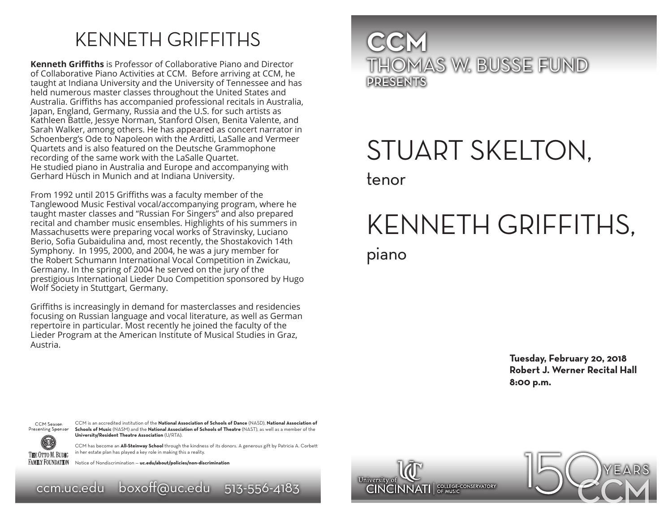### KENNETH GRIFFITHS

**Kenneth Griffiths** is Professor of Collaborative Piano and Director of Collaborative Piano Activities at CCM. Before arriving at CCM, he taught at Indiana University and the University of Tennessee and has held numerous master classes throughout the United States and Australia. Griffiths has accompanied professional recitals in Australia, Japan, England, Germany, Russia and the U.S. for such artists as Kathleen Battle, Jessye Norman, Stanford Olsen, Benita Valente, and Sarah Walker, among others. He has appeared as concert narrator in Schoenberg's Ode to Napoleon with the Arditti, LaSalle and Vermeer Quartets and is also featured on the Deutsche Grammophone recording of the same work with the LaSalle Quartet. He studied piano in Australia and Europe and accompanying with Gerhard Hüsch in Munich and at Indiana University.

From 1992 until 2015 Griffiths was a faculty member of the Tanglewood Music Festival vocal/accompanying program, where he taught master classes and "Russian For Singers" and also prepared recital and chamber music ensembles. Highlights of his summers in Massachusetts were preparing vocal works of Stravinsky, Luciano Berio, Sofia Gubaidulina and, most recently, the Shostakovich 14th Symphony. In 1995, 2000, and 2004, he was a jury member for the Robert Schumann International Vocal Competition in Zwickau, Germany. In the spring of 2004 he served on the jury of the prestigious International Lieder Duo Competition sponsored by Hugo Wolf Society in Stuttgart, Germany.

Griffiths is increasingly in demand for masterclasses and residencies focusing on Russian language and vocal literature, as well as German repertoire in particular. Most recently he joined the faculty of the Lieder Program at the American Institute of Musical Studies in Graz, Austria.



## STUART SKELTON, tenor

# KENNETH GRIFFITHS, piano

**Tuesday, February 20, 2018 Robert J. Werner Recital Hall 8:00 p.m.**



**FAMILY FOUNDATION** 

CCM is an accredited institution of the **National Association of Schools of Dance** (NASD), **National Association of Schools of Music** (NASM) and the **National Association of Schools of Theatre** (NAST), as well as a member of the **University/Resident Theatre Association** (U/RTA).

CCM has become an **All-Steinway School** through the kindness of its donors. A generous gift by Patricia A. Corbett in her estate plan has played a key role in making this a reality.

Notice of Nondiscrimination — **uc.edu/about/policies/non-discrimination**

ccm.uc.edu boxoff@uc.edu 513-556-4183